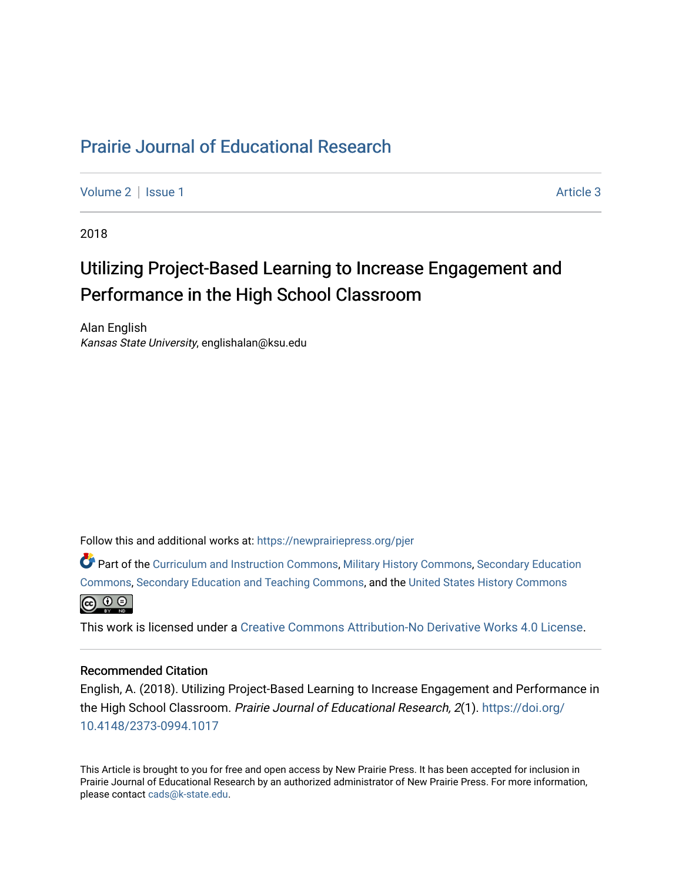# [Prairie Journal of Educational Research](https://newprairiepress.org/pjer)

[Volume 2](https://newprairiepress.org/pjer/vol2) | [Issue 1](https://newprairiepress.org/pjer/vol2/iss1) Article 3

2018

# Utilizing Project-Based Learning to Increase Engagement and Performance in the High School Classroom

Alan English Kansas State University, englishalan@ksu.edu

Follow this and additional works at: [https://newprairiepress.org/pjer](https://newprairiepress.org/pjer?utm_source=newprairiepress.org%2Fpjer%2Fvol2%2Fiss1%2F3&utm_medium=PDF&utm_campaign=PDFCoverPages) 

Part of the [Curriculum and Instruction Commons,](http://network.bepress.com/hgg/discipline/786?utm_source=newprairiepress.org%2Fpjer%2Fvol2%2Fiss1%2F3&utm_medium=PDF&utm_campaign=PDFCoverPages) [Military History Commons,](http://network.bepress.com/hgg/discipline/504?utm_source=newprairiepress.org%2Fpjer%2Fvol2%2Fiss1%2F3&utm_medium=PDF&utm_campaign=PDFCoverPages) [Secondary Education](http://network.bepress.com/hgg/discipline/1382?utm_source=newprairiepress.org%2Fpjer%2Fvol2%2Fiss1%2F3&utm_medium=PDF&utm_campaign=PDFCoverPages) [Commons](http://network.bepress.com/hgg/discipline/1382?utm_source=newprairiepress.org%2Fpjer%2Fvol2%2Fiss1%2F3&utm_medium=PDF&utm_campaign=PDFCoverPages), [Secondary Education and Teaching Commons,](http://network.bepress.com/hgg/discipline/809?utm_source=newprairiepress.org%2Fpjer%2Fvol2%2Fiss1%2F3&utm_medium=PDF&utm_campaign=PDFCoverPages) and the [United States History Commons](http://network.bepress.com/hgg/discipline/495?utm_source=newprairiepress.org%2Fpjer%2Fvol2%2Fiss1%2F3&utm_medium=PDF&utm_campaign=PDFCoverPages)



This work is licensed under a [Creative Commons Attribution-No Derivative Works 4.0 License.](https://creativecommons.org/licenses/by-nd/4.0/)

#### Recommended Citation

English, A. (2018). Utilizing Project-Based Learning to Increase Engagement and Performance in the High School Classroom. Prairie Journal of Educational Research, 2(1). [https://doi.org/](https://doi.org/10.4148/2373-0994.1017) [10.4148/2373-0994.1017](https://doi.org/10.4148/2373-0994.1017) 

This Article is brought to you for free and open access by New Prairie Press. It has been accepted for inclusion in Prairie Journal of Educational Research by an authorized administrator of New Prairie Press. For more information, please contact [cads@k-state.edu.](mailto:cads@k-state.edu)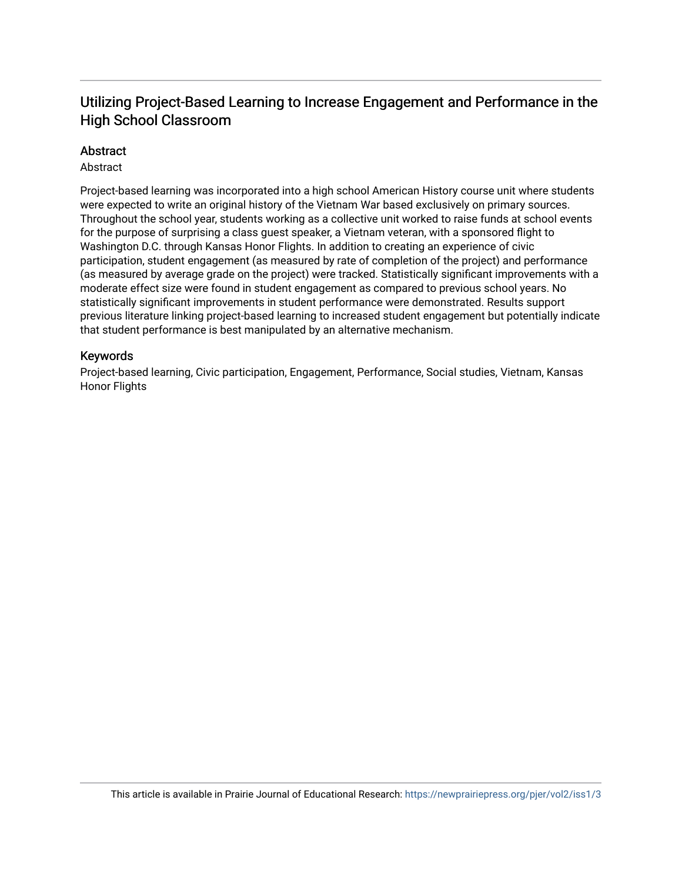## Utilizing Project-Based Learning to Increase Engagement and P erformance in the High School Classroom

## Abstract

## Abstract

Project-based learning was incorporated into a high school American History course unit where students were expected to write an original history of the Vietnam War based exclusively on primary sources. Throughout the school year, students working as a collective unit worked to raise funds at school events for the purpose of surprising a class guest speaker, a Vietnam veteran, with a sponsored flight to Washington D.C. through Kansas Honor Flights. In addition to creating an experience of civic participation, student engagement (as measured by rate of completion of the project) and performance (as measured by average grade on the project) were tracked. Statistically significant improvements with a moderate effect size were found in student engagement as compared to previous school years. No statistically significant improvements in student performance were demonstrated. Results support previous literature linking project-based learning to increased student engagement but potentially indicate that student performance is best manipulated by an alternative mechanism.

## Keywords

Project-based learning, Civic participation, Engagement, Performance, Social studies, Vietnam, Kansas Honor Flights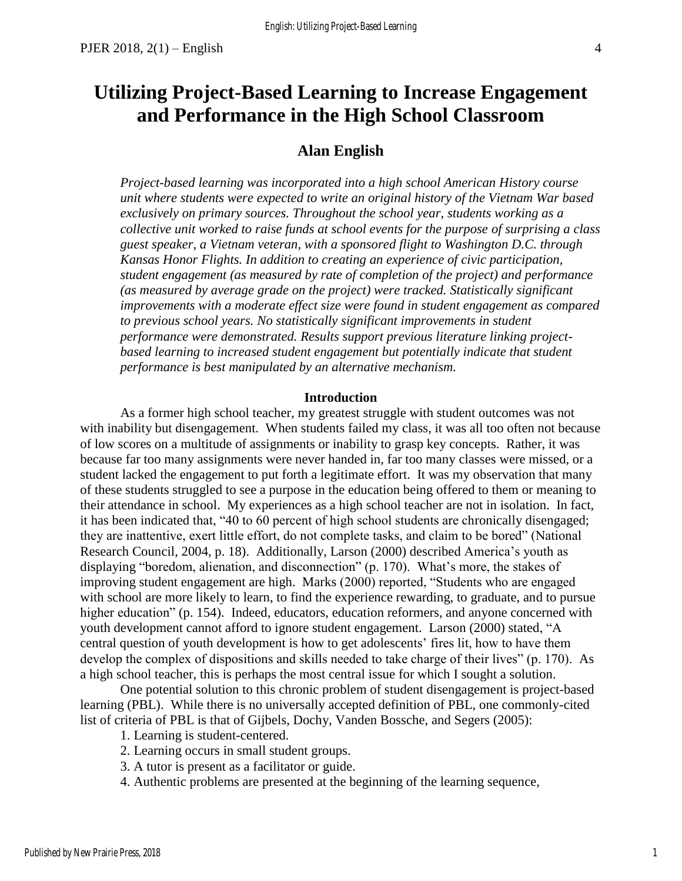# **Utilizing Project-Based Learning to Increase Engagement and Performance in the High School Classroom**

## **Alan English**

*Project-based learning was incorporated into a high school American History course unit where students were expected to write an original history of the Vietnam War based exclusively on primary sources. Throughout the school year, students working as a collective unit worked to raise funds at school events for the purpose of surprising a class guest speaker, a Vietnam veteran, with a sponsored flight to Washington D.C. through Kansas Honor Flights. In addition to creating an experience of civic participation, student engagement (as measured by rate of completion of the project) and performance (as measured by average grade on the project) were tracked. Statistically significant improvements with a moderate effect size were found in student engagement as compared to previous school years. No statistically significant improvements in student performance were demonstrated. Results support previous literature linking project*based learning to increased student engagement but potentially indicate that student *performance is best manipulated by an alternative mechanism.*

#### **Introduction**

As a former high school teacher, my greatest struggle with student outcomes was not with inability but disengagement. When students failed my class, it was all too often not because of low scores on a multitude of assignments or inability to grasp key concepts. Rather, it was because far too many assignments were never handed in, far too many classes were missed, or a student lacked the engagement to put forth a legitimate effort. It was my observation that many of these students struggled to see a purpose in the education being offered to them or meaning to their attendance in school. My experiences as a high school teacher are not in isolation. In fact, it has been indicated that, "40 to 60 percent of high school students are chronically disengaged; they are inattentive, exert little effort, do not complete tasks, and claim to be bored" (National Research Council, 2004, p. 18). Additionally, Larson (2000) described America's youth as displaying "boredom, alienation, and disconnection" (p. 170). What's more, the stakes of improving student engagement are high. Marks (2000) reported, "Students who are engaged with school are more likely to learn, to find the experience rewarding, to graduate, and to pursue higher education" (p. 154). Indeed, educators, education reformers, and anyone concerned with youth development cannot afford to ignore student engagement. Larson (2000) stated, "A central question of youth development is how to get adolescents' fires lit, how to have them develop the complex of dispositions and skills needed to take charge of their lives" (p. 170). As a high school teacher, this is perhaps the most central issue for which I sought a solution.

One potential solution to this chronic problem of student disengagement is project-based learning (PBL). While there is no universally accepted definition of PBL, one commonly-cited list of criteria of PBL is that of Gijbels, Dochy, Vanden Bossche, and Segers (2005):

1. Learning is student-centered.

- 2. Learning occurs in small student groups.
- 3. A tutor is present as a facilitator or guide.
- 4. Authentic problems are presented at the beginning of the learning sequence,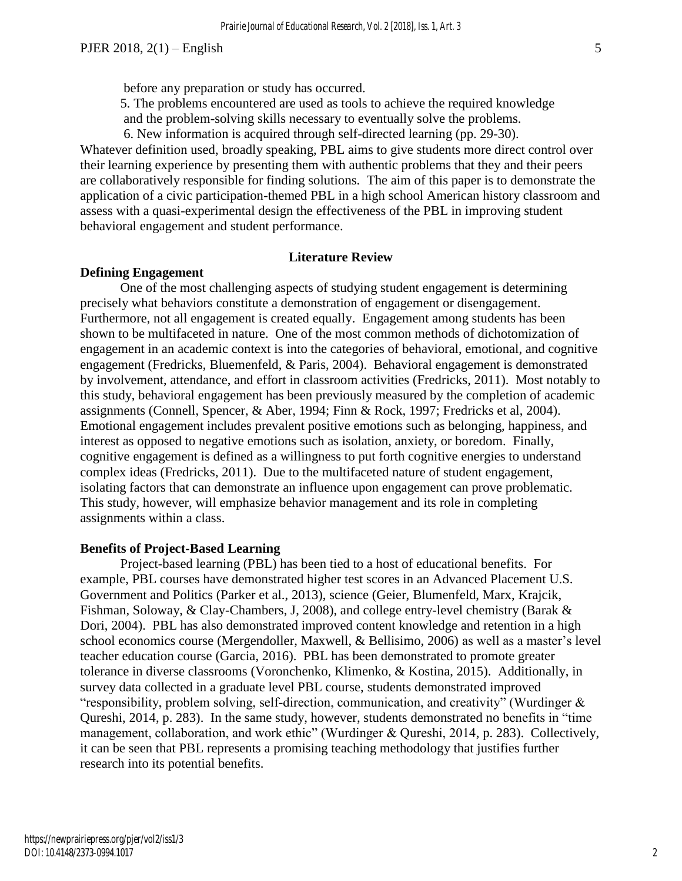before any preparation or study has occurred.

5. The problems encountered are used as tools to achieve the required knowledge and the problem-solving skills necessary to eventually solve the problems.

6. New information is acquired through self-directed learning (pp. 29-30).

Whatever definition used, broadly speaking, PBL aims to give students more direct control over their learning experience by presenting them with authentic problems that they and their peers are collaboratively responsible for finding solutions. The aim of this paper is to demonstrate the application of a civic participation-themed PBL in a high school American history classroom and assess with a quasi-experimental design the effectiveness of the PBL in improving student behavioral engagement and student performance.

## **Literature Review**

#### **Defining Engagement**

One of the most challenging aspects of studying student engagement is determining precisely what behaviors constitute a demonstration of engagement or disengagement. Furthermore, not all engagement is created equally. Engagement among students has been shown to be multifaceted in nature. One of the most common methods of dichotomization of engagement in an academic context is into the categories of behavioral, emotional, and cognitive engagement (Fredricks, Bluemenfeld, & Paris, 2004). Behavioral engagement is demonstrated by involvement, attendance, and effort in classroom activities (Fredricks, 2011). Most notably to this study, behavioral engagement has been previously measured by the completion of academic assignments (Connell, Spencer, & Aber, 1994; Finn & Rock, 1997; Fredricks et al, 2004). Emotional engagement includes prevalent positive emotions such as belonging, happiness, and interest as opposed to negative emotions such as isolation, anxiety, or boredom. Finally, cognitive engagement is defined as a willingness to put forth cognitive energies to understand complex ideas (Fredricks, 2011). Due to the multifaceted nature of student engagement, isolating factors that can demonstrate an influence upon engagement can prove problematic. This study, however, will emphasize behavior management and its role in completing assignments within a class.

#### **Benefits of Project-Based Learning**

Project-based learning (PBL) has been tied to a host of educational benefits. For example, PBL courses have demonstrated higher test scores in an Advanced Placement U.S. Government and Politics (Parker et al., 2013), science (Geier, Blumenfeld, Marx, Krajcik, Fishman, Soloway, & Clay-Chambers, J, 2008), and college entry-level chemistry (Barak & Dori, 2004). PBL has also demonstrated improved content knowledge and retention in a high school economics course (Mergendoller, Maxwell, & Bellisimo, 2006) as well as a master's level teacher education course (Garcia, 2016). PBL has been demonstrated to promote greater tolerance in diverse classrooms (Voronchenko, Klimenko, & Kostina, 2015). Additionally, in survey data collected in a graduate level PBL course, students demonstrated improved "responsibility, problem solving, self-direction, communication, and creativity" (Wurdinger & Qureshi, 2014, p. 283). In the same study, however, students demonstrated no benefits in "time management, collaboration, and work ethic" (Wurdinger & Qureshi, 2014, p. 283). Collectively, it can be seen that PBL represents a promising teaching methodology that justifies further research into its potential benefits.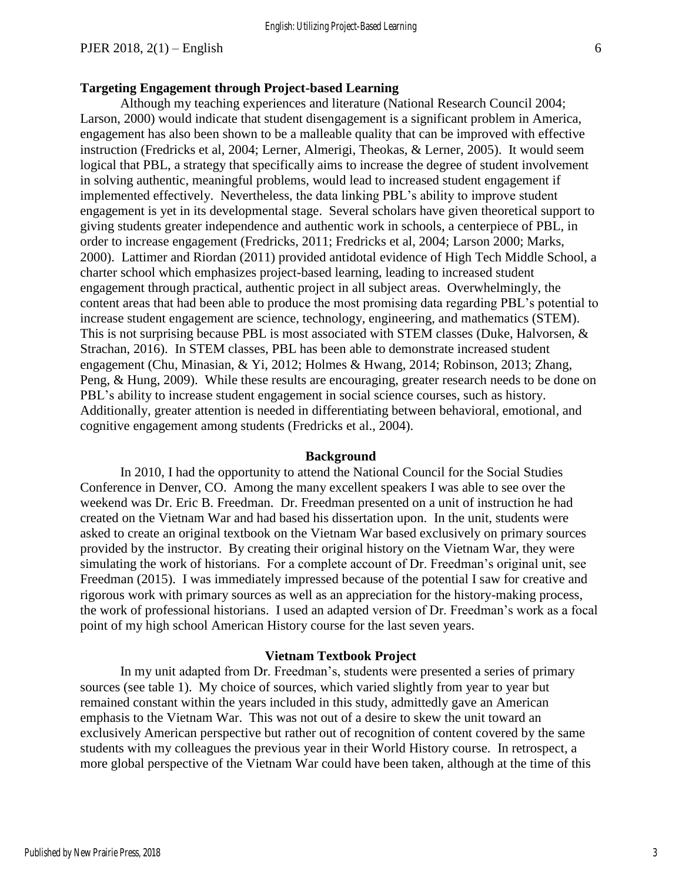#### **Targeting Engagement through Project-based Learning**

Although my teaching experiences and literature (National Research Council 2004; Larson, 2000) would indicate that student disengagement is a significant problem in America, engagement has also been shown to be a malleable quality that can be improved with effective instruction (Fredricks et al, 2004; Lerner, Almerigi, Theokas, & Lerner, 2005). It would seem logical that PBL, a strategy that specifically aims to increase the degree of student involvement in solving authentic, meaningful problems, would lead to increased student engagement if implemented effectively. Nevertheless, the data linking PBL's ability to improve student engagement is yet in its developmental stage. Several scholars have given theoretical support to giving students greater independence and authentic work in schools, a centerpiece of PBL, in order to increase engagement (Fredricks, 2011; Fredricks et al, 2004; Larson 2000; Marks, 2000). Lattimer and Riordan (2011) provided antidotal evidence of High Tech Middle School, a charter school which emphasizes project-based learning, leading to increased student engagement through practical, authentic project in all subject areas. Overwhelmingly, the content areas that had been able to produce the most promising data regarding PBL's potential to increase student engagement are science, technology, engineering, and mathematics (STEM). This is not surprising because PBL is most associated with STEM classes (Duke, Halvorsen, & Strachan, 2016). In STEM classes, PBL has been able to demonstrate increased student engagement (Chu, Minasian, & Yi, 2012; Holmes & Hwang, 2014; Robinson, 2013; Zhang, Peng, & Hung, 2009). While these results are encouraging, greater research needs to be done on PBL's ability to increase student engagement in social science courses, such as history. Additionally, greater attention is needed in differentiating between behavioral, emotional, and cognitive engagement among students (Fredricks et al., 2004).

#### **Background**

In 2010, I had the opportunity to attend the National Council for the Social Studies Conference in Denver, CO. Among the many excellent speakers I was able to see over the weekend was Dr. Eric B. Freedman. Dr. Freedman presented on a unit of instruction he had created on the Vietnam War and had based his dissertation upon. In the unit, students were asked to create an original textbook on the Vietnam War based exclusively on primary sources provided by the instructor. By creating their original history on the Vietnam War, they were simulating the work of historians. For a complete account of Dr. Freedman's original unit, see Freedman (2015). I was immediately impressed because of the potential I saw for creative and rigorous work with primary sources as well as an appreciation for the history-making process, the work of professional historians. I used an adapted version of Dr. Freedman's work as a focal point of my high school American History course for the last seven years.

#### **Vietnam Textbook Project**

In my unit adapted from Dr. Freedman's, students were presented a series of primary sources (see table 1). My choice of sources, which varied slightly from year to year but remained constant within the years included in this study, admittedly gave an American emphasis to the Vietnam War. This was not out of a desire to skew the unit toward an exclusively American perspective but rather out of recognition of content covered by the same students with my colleagues the previous year in their World History course. In retrospect, a more global perspective of the Vietnam War could have been taken, although at the time of this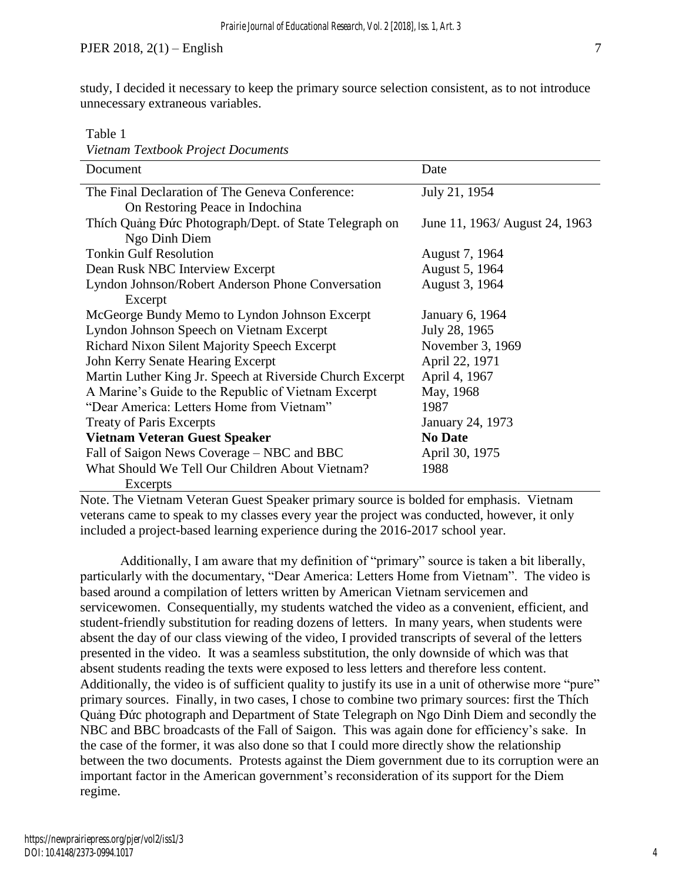study, I decided it necessary to keep the primary source selection consistent, as to not introduce unnecessary extraneous variables.

Table 1

| Vietnam Textbook Project Documents                        |                                |  |
|-----------------------------------------------------------|--------------------------------|--|
| Document                                                  | Date                           |  |
| The Final Declaration of The Geneva Conference:           | July 21, 1954                  |  |
| On Restoring Peace in Indochina                           |                                |  |
| Thích Quảng Đức Photograph/Dept. of State Telegraph on    | June 11, 1963/ August 24, 1963 |  |
| Ngo Dinh Diem                                             |                                |  |
| <b>Tonkin Gulf Resolution</b>                             | August 7, 1964                 |  |
| Dean Rusk NBC Interview Excerpt                           | August 5, 1964                 |  |
| Lyndon Johnson/Robert Anderson Phone Conversation         | August 3, 1964                 |  |
| Excerpt                                                   |                                |  |
| McGeorge Bundy Memo to Lyndon Johnson Excerpt             | January 6, 1964                |  |
| Lyndon Johnson Speech on Vietnam Excerpt                  | July 28, 1965                  |  |
| <b>Richard Nixon Silent Majority Speech Excerpt</b>       | November 3, 1969               |  |
| John Kerry Senate Hearing Excerpt                         | April 22, 1971                 |  |
| Martin Luther King Jr. Speech at Riverside Church Excerpt | April 4, 1967                  |  |
| A Marine's Guide to the Republic of Vietnam Excerpt       | May, 1968                      |  |
| "Dear America: Letters Home from Vietnam"                 | 1987                           |  |
| <b>Treaty of Paris Excerpts</b>                           | January 24, 1973               |  |
| <b>Vietnam Veteran Guest Speaker</b>                      | <b>No Date</b>                 |  |
| Fall of Saigon News Coverage – NBC and BBC                | April 30, 1975                 |  |
| What Should We Tell Our Children About Vietnam?           | 1988                           |  |
| Excerpts                                                  |                                |  |

Note. The Vietnam Veteran Guest Speaker primary source is bolded for emphasis. Vietnam veterans came to speak to my classes every year the project was conducted, however, it only included a project-based learning experience during the 2016-2017 school year.

Additionally, I am aware that my definition of "primary" source is taken a bit liberally, particularly with the documentary, "Dear America: Letters Home from Vietnam". The video is based around a compilation of letters written by American Vietnam servicemen and servicewomen. Consequentially, my students watched the video as a convenient, efficient, and student-friendly substitution for reading dozens of letters. In many years, when students were absent the day of our class viewing of the video, I provided transcripts of several of the letters presented in the video. It was a seamless substitution, the only downside of which was that absent students reading the texts were exposed to less letters and therefore less content. Additionally, the video is of sufficient quality to justify its use in a unit of otherwise more "pure" primary sources. Finally, in two cases, I chose to combine two primary sources: first the Thích Quảng Đức photograph and Department of State Telegraph on Ngo Dinh Diem and secondly the NBC and BBC broadcasts of the Fall of Saigon. This was again done for efficiency's sake. In the case of the former, it was also done so that I could more directly show the relationship between the two documents. Protests against the Diem government due to its corruption were an important factor in the American government's reconsideration of its support for the Diem regime.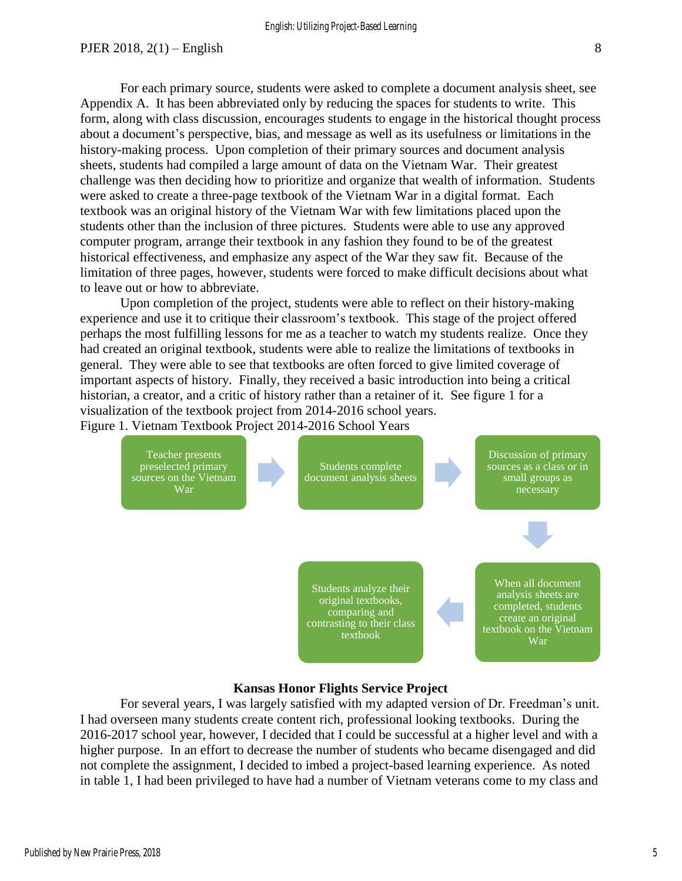For each primary source, students were asked to complete a document analysis sheet, see Appendix A. It has been abbreviated only by reducing the spaces for students to write. This form, along with class discussion, encourages students to engage in the historical thought process about a document's perspective, bias, and message as well as its usefulness or limitations in the history-making process. Upon completion of their primary sources and document analysis sheets, students had compiled a large amount of data on the Vietnam War. Their greatest challenge was then deciding how to prioritize and organize that wealth of information. Students were asked to create a three-page textbook of the Vietnam War in a digital format. Each textbook was an original history of the Vietnam War with few limitations placed upon the students other than the inclusion of three pictures. Students were able to use any approved computer program, arrange their textbook in any fashion they found to be of the greatest historical effectiveness, and emphasize any aspect of the War they saw fit. Because of the limitation of three pages, however, students were forced to make difficult decisions about what to leave out or how to abbreviate.

Upon completion of the project, students were able to reflect on their history-making experience and use it to critique their classroom's textbook. This stage of the project offered perhaps the most fulfilling lessons for me as a teacher to watch my students realize. Once they had created an original textbook, students were able to realize the limitations of textbooks in general. They were able to see that textbooks are often forced to give limited coverage of important aspects of history. Finally, they received a basic introduction into being a critical historian, a creator, and a critic of history rather than a retainer of it. See figure 1 for a visualization of the textbook project from 2014-2016 school years. Figure 1. Vietnam Textbook Project 2014-2016 School Years



#### **Kansas Honor Flights Service Project**

For several years, I was largely satisfied with my adapted version of Dr. Freedman's unit. I had overseen many students create content rich, professional looking textbooks. During the 2016-2017 school year, however, I decided that I could be successful at a higher level and with a higher purpose. In an effort to decrease the number of students who became disengaged and did not complete the assignment, I decided to imbed a project-based learning experience. As noted in table 1, I had been privileged to have had a number of Vietnam veterans come to my class and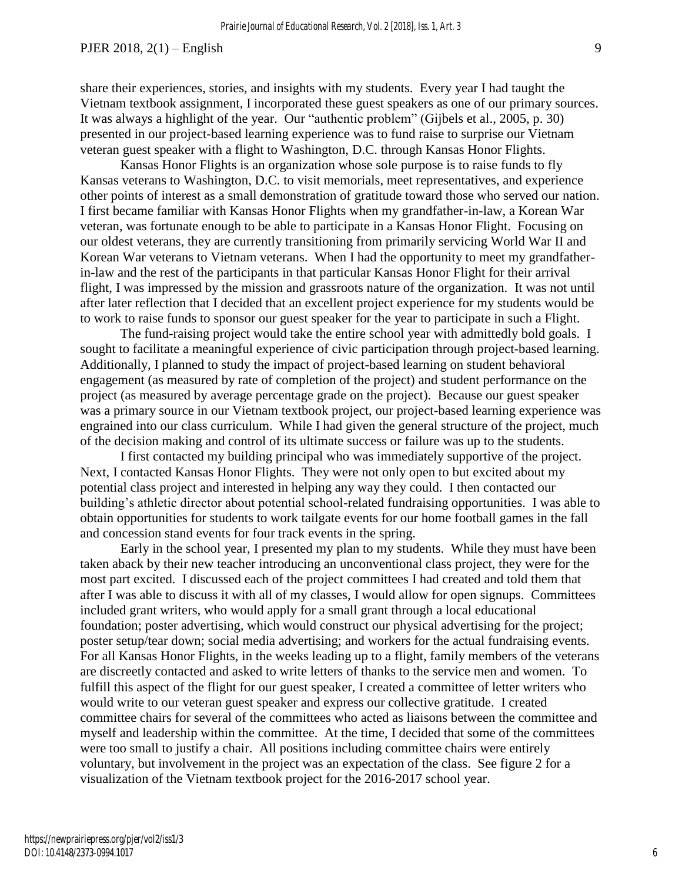share their experiences, stories, and insights with my students. Every year I had taught the Vietnam textbook assignment, I incorporated these guest speakers as one of our primary sources. It was always a highlight of the year. Our "authentic problem" (Gijbels et al., 2005, p. 30) presented in our project-based learning experience was to fund raise to surprise our Vietnam veteran guest speaker with a flight to Washington, D.C. through Kansas Honor Flights.

Kansas Honor Flights is an organization whose sole purpose is to raise funds to fly Kansas veterans to Washington, D.C. to visit memorials, meet representatives, and experience other points of interest as a small demonstration of gratitude toward those who served our nation. I first became familiar with Kansas Honor Flights when my grandfather-in-law, a Korean War veteran, was fortunate enough to be able to participate in a Kansas Honor Flight. Focusing on our oldest veterans, they are currently transitioning from primarily servicing World War II and Korean War veterans to Vietnam veterans. When I had the opportunity to meet my grandfatherin-law and the rest of the participants in that particular Kansas Honor Flight for their arrival flight, I was impressed by the mission and grassroots nature of the organization. It was not until after later reflection that I decided that an excellent project experience for my students would be to work to raise funds to sponsor our guest speaker for the year to participate in such a Flight.

The fund-raising project would take the entire school year with admittedly bold goals. I sought to facilitate a meaningful experience of civic participation through project-based learning. Additionally, I planned to study the impact of project-based learning on student behavioral engagement (as measured by rate of completion of the project) and student performance on the project (as measured by average percentage grade on the project). Because our guest speaker was a primary source in our Vietnam textbook project, our project-based learning experience was engrained into our class curriculum. While I had given the general structure of the project, much of the decision making and control of its ultimate success or failure was up to the students.

I first contacted my building principal who was immediately supportive of the project. Next, I contacted Kansas Honor Flights. They were not only open to but excited about my potential class project and interested in helping any way they could. I then contacted our building's athletic director about potential school-related fundraising opportunities. I was able to obtain opportunities for students to work tailgate events for our home football games in the fall and concession stand events for four track events in the spring.

Early in the school year, I presented my plan to my students. While they must have been taken aback by their new teacher introducing an unconventional class project, they were for the most part excited. I discussed each of the project committees I had created and told them that after I was able to discuss it with all of my classes, I would allow for open signups. Committees included grant writers, who would apply for a small grant through a local educational foundation; poster advertising, which would construct our physical advertising for the project; poster setup/tear down; social media advertising; and workers for the actual fundraising events. For all Kansas Honor Flights, in the weeks leading up to a flight, family members of the veterans are discreetly contacted and asked to write letters of thanks to the service men and women. To fulfill this aspect of the flight for our guest speaker, I created a committee of letter writers who would write to our veteran guest speaker and express our collective gratitude. I created committee chairs for several of the committees who acted as liaisons between the committee and myself and leadership within the committee. At the time, I decided that some of the committees were too small to justify a chair. All positions including committee chairs were entirely voluntary, but involvement in the project was an expectation of the class. See figure 2 for a visualization of the Vietnam textbook project for the 2016-2017 school year.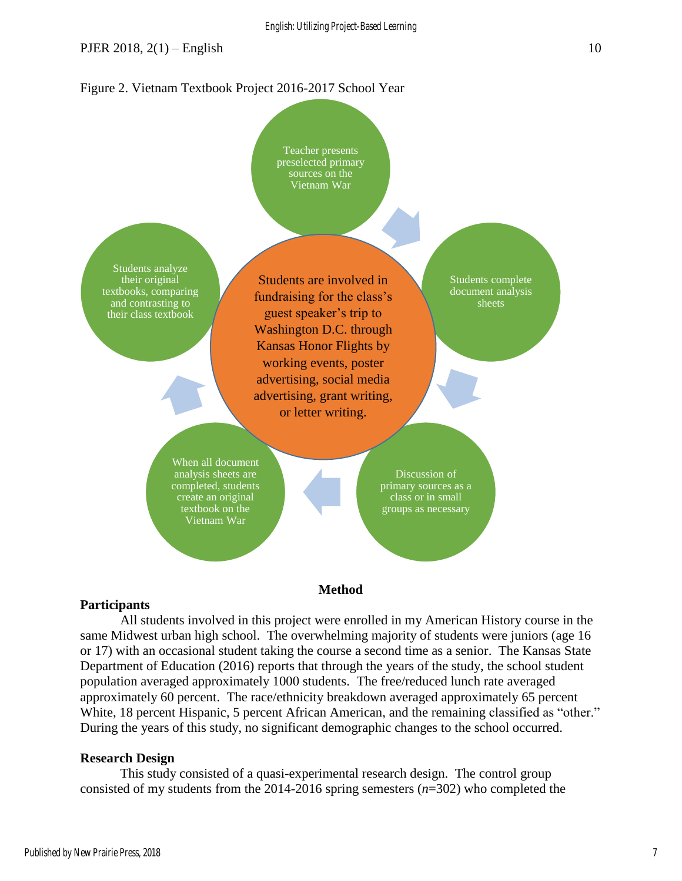Figure 2. Vietnam Textbook Project 2016-2017 School Year



#### **Participants**

All students involved in this project were enrolled in my American History course in the same Midwest urban high school. The overwhelming majority of students were juniors (age 16 or 17) with an occasional student taking the course a second time as a senior. The Kansas State Department of Education (2016) reports that through the years of the study, the school student population averaged approximately 1000 students. The free/reduced lunch rate averaged approximately 60 percent. The race/ethnicity breakdown averaged approximately 65 percent White, 18 percent Hispanic, 5 percent African American, and the remaining classified as "other." During the years of this study, no significant demographic changes to the school occurred.

## **Research Design**

This study consisted of a quasi-experimental research design. The control group consisted of my students from the 2014-2016 spring semesters (*n*=302) who completed the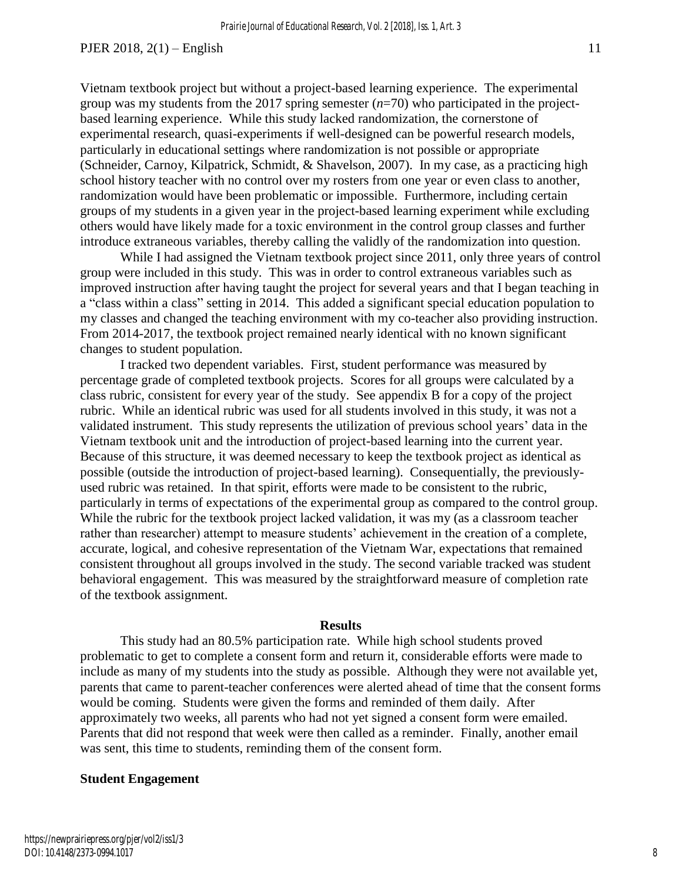Vietnam textbook project but without a project-based learning experience. The experimental group was my students from the 2017 spring semester (*n*=70) who participated in the projectbased learning experience. While this study lacked randomization, the cornerstone of experimental research, quasi-experiments if well-designed can be powerful research models, particularly in educational settings where randomization is not possible or appropriate (Schneider, Carnoy, Kilpatrick, Schmidt, & Shavelson, 2007). In my case, as a practicing high school history teacher with no control over my rosters from one year or even class to another, randomization would have been problematic or impossible. Furthermore, including certain groups of my students in a given year in the project-based learning experiment while excluding others would have likely made for a toxic environment in the control group classes and further introduce extraneous variables, thereby calling the validly of the randomization into question.

While I had assigned the Vietnam textbook project since 2011, only three years of control group were included in this study. This was in order to control extraneous variables such as improved instruction after having taught the project for several years and that I began teaching in a "class within a class" setting in 2014. This added a significant special education population to my classes and changed the teaching environment with my co-teacher also providing instruction. From 2014-2017, the textbook project remained nearly identical with no known significant changes to student population.

I tracked two dependent variables. First, student performance was measured by percentage grade of completed textbook projects. Scores for all groups were calculated by a class rubric, consistent for every year of the study. See appendix B for a copy of the project rubric. While an identical rubric was used for all students involved in this study, it was not a validated instrument. This study represents the utilization of previous school years' data in the Vietnam textbook unit and the introduction of project-based learning into the current year. Because of this structure, it was deemed necessary to keep the textbook project as identical as possible (outside the introduction of project-based learning). Consequentially, the previouslyused rubric was retained. In that spirit, efforts were made to be consistent to the rubric, particularly in terms of expectations of the experimental group as compared to the control group. While the rubric for the textbook project lacked validation, it was my (as a classroom teacher rather than researcher) attempt to measure students' achievement in the creation of a complete, accurate, logical, and cohesive representation of the Vietnam War, expectations that remained consistent throughout all groups involved in the study. The second variable tracked was student behavioral engagement. This was measured by the straightforward measure of completion rate of the textbook assignment.

#### **Results**

This study had an 80.5% participation rate. While high school students proved problematic to get to complete a consent form and return it, considerable efforts were made to include as many of my students into the study as possible. Although they were not available yet, parents that came to parent-teacher conferences were alerted ahead of time that the consent forms would be coming. Students were given the forms and reminded of them daily. After approximately two weeks, all parents who had not yet signed a consent form were emailed. Parents that did not respond that week were then called as a reminder. Finally, another email was sent, this time to students, reminding them of the consent form.

#### **Student Engagement**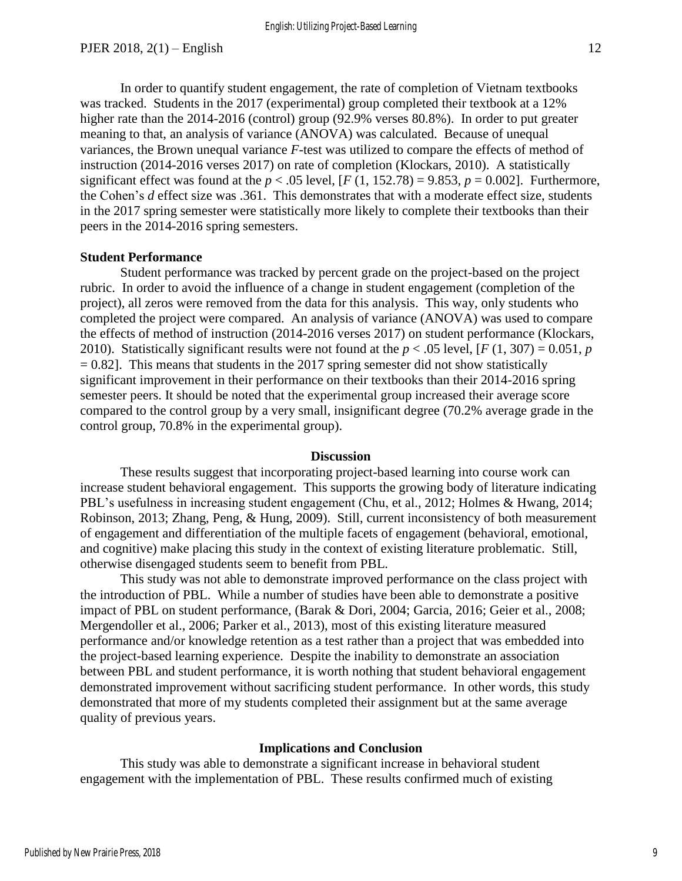In order to quantify student engagement, the rate of completion of Vietnam textbooks was tracked. Students in the 2017 (experimental) group completed their textbook at a 12% higher rate than the 2014-2016 (control) group (92.9% verses 80.8%). In order to put greater meaning to that, an analysis of variance (ANOVA) was calculated. Because of unequal variances, the Brown unequal variance *F*-test was utilized to compare the effects of method of instruction (2014-2016 verses 2017) on rate of completion (Klockars, 2010). A statistically significant effect was found at the  $p < .05$  level,  $[F(1, 152.78) = 9.853, p = 0.002]$ . Furthermore, the Cohen's *d* effect size was .361. This demonstrates that with a moderate effect size, students in the 2017 spring semester were statistically more likely to complete their textbooks than their peers in the 2014-2016 spring semesters.

## **Student Performance**

Student performance was tracked by percent grade on the project-based on the project rubric. In order to avoid the influence of a change in student engagement (completion of the project), all zeros were removed from the data for this analysis. This way, only students who completed the project were compared. An analysis of variance (ANOVA) was used to compare the effects of method of instruction (2014-2016 verses 2017) on student performance (Klockars, 2010). Statistically significant results were not found at the  $p < .05$  level,  $[F(1, 307) = 0.051, p$  $= 0.82$ ]. This means that students in the 2017 spring semester did not show statistically significant improvement in their performance on their textbooks than their 2014-2016 spring semester peers. It should be noted that the experimental group increased their average score compared to the control group by a very small, insignificant degree (70.2% average grade in the control group, 70.8% in the experimental group).

#### **Discussion**

These results suggest that incorporating project-based learning into course work can increase student behavioral engagement. This supports the growing body of literature indicating PBL's usefulness in increasing student engagement (Chu, et al., 2012; Holmes & Hwang, 2014; Robinson, 2013; Zhang, Peng, & Hung, 2009). Still, current inconsistency of both measurement of engagement and differentiation of the multiple facets of engagement (behavioral, emotional, and cognitive) make placing this study in the context of existing literature problematic. Still, otherwise disengaged students seem to benefit from PBL.

This study was not able to demonstrate improved performance on the class project with the introduction of PBL. While a number of studies have been able to demonstrate a positive impact of PBL on student performance, (Barak & Dori, 2004; Garcia, 2016; Geier et al., 2008; Mergendoller et al., 2006; Parker et al., 2013), most of this existing literature measured performance and/or knowledge retention as a test rather than a project that was embedded into the project-based learning experience. Despite the inability to demonstrate an association between PBL and student performance, it is worth nothing that student behavioral engagement demonstrated improvement without sacrificing student performance. In other words, this study demonstrated that more of my students completed their assignment but at the same average quality of previous years.

#### **Implications and Conclusion**

This study was able to demonstrate a significant increase in behavioral student engagement with the implementation of PBL. These results confirmed much of existing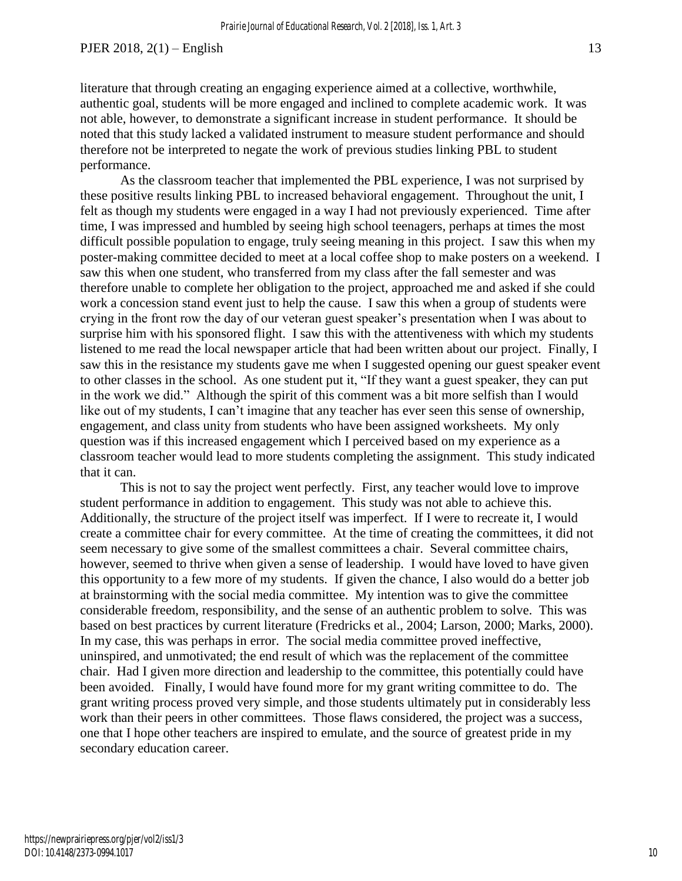As the classroom teacher that implemented the PBL experience, I was not surprised by these positive results linking PBL to increased behavioral engagement. Throughout the unit, I felt as though my students were engaged in a way I had not previously experienced. Time after time, I was impressed and humbled by seeing high school teenagers, perhaps at times the most difficult possible population to engage, truly seeing meaning in this project. I saw this when my poster-making committee decided to meet at a local coffee shop to make posters on a weekend. I saw this when one student, who transferred from my class after the fall semester and was therefore unable to complete her obligation to the project, approached me and asked if she could work a concession stand event just to help the cause. I saw this when a group of students were crying in the front row the day of our veteran guest speaker's presentation when I was about to surprise him with his sponsored flight. I saw this with the attentiveness with which my students listened to me read the local newspaper article that had been written about our project. Finally, I saw this in the resistance my students gave me when I suggested opening our guest speaker event to other classes in the school. As one student put it, "If they want a guest speaker, they can put in the work we did." Although the spirit of this comment was a bit more selfish than I would like out of my students, I can't imagine that any teacher has ever seen this sense of ownership, engagement, and class unity from students who have been assigned worksheets. My only question was if this increased engagement which I perceived based on my experience as a classroom teacher would lead to more students completing the assignment. This study indicated that it can.

This is not to say the project went perfectly. First, any teacher would love to improve student performance in addition to engagement. This study was not able to achieve this. Additionally, the structure of the project itself was imperfect. If I were to recreate it, I would create a committee chair for every committee. At the time of creating the committees, it did not seem necessary to give some of the smallest committees a chair. Several committee chairs, however, seemed to thrive when given a sense of leadership. I would have loved to have given this opportunity to a few more of my students. If given the chance, I also would do a better job at brainstorming with the social media committee. My intention was to give the committee considerable freedom, responsibility, and the sense of an authentic problem to solve. This was based on best practices by current literature (Fredricks et al., 2004; Larson, 2000; Marks, 2000). In my case, this was perhaps in error. The social media committee proved ineffective, uninspired, and unmotivated; the end result of which was the replacement of the committee chair. Had I given more direction and leadership to the committee, this potentially could have been avoided. Finally, I would have found more for my grant writing committee to do. The grant writing process proved very simple, and those students ultimately put in considerably less work than their peers in other committees. Those flaws considered, the project was a success, one that I hope other teachers are inspired to emulate, and the source of greatest pride in my secondary education career.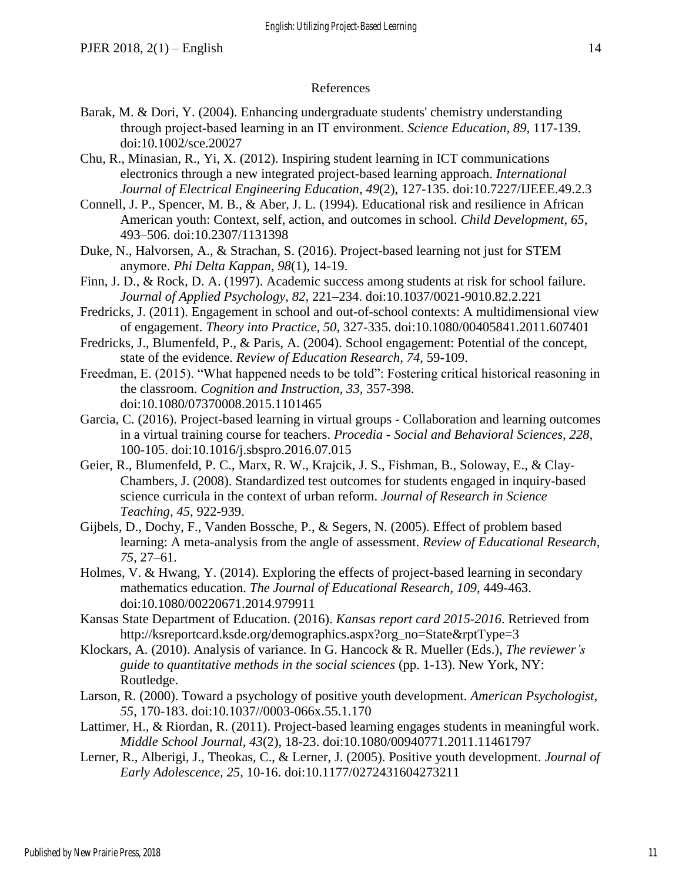#### References

- Barak, M. & Dori, Y. (2004). Enhancing undergraduate students' chemistry understanding through project‐based learning in an IT environment. *Science Education, 89,* 117-139. doi:10.1002/sce.20027
- Chu, R., Minasian, R., Yi, X. (2012). Inspiring student learning in ICT communications electronics through a new integrated project-based learning approach. *International Journal of Electrical Engineering Education, 49*(2), 127-135. doi:10.7227/IJEEE.49.2.3
- Connell, J. P., Spencer, M. B., & Aber, J. L. (1994). Educational risk and resilience in African American youth: Context, self, action, and outcomes in school. *Child Development, 65*, 493–506. doi:10.2307/1131398
- Duke, N., Halvorsen, A., & Strachan, S. (2016). Project-based learning not just for STEM anymore. *Phi Delta Kappan, 98*(1), 14-19.
- Finn, J. D., & Rock, D. A. (1997). Academic success among students at risk for school failure. *Journal of Applied Psychology, 82*, 221–234. doi:10.1037/0021-9010.82.2.221
- Fredricks, J. (2011). Engagement in school and out-of-school contexts: A multidimensional view of engagement. *Theory into Practice, 50*, 327-335. doi:10.1080/00405841.2011.607401
- Fredricks, J., Blumenfeld, P., & Paris, A. (2004). School engagement: Potential of the concept, state of the evidence. *Review of Education Research, 74*, 59-109.
- Freedman, E. (2015). "What happened needs to be told": Fostering critical historical reasoning in the classroom. *Cognition and Instruction*, *33,* 357-398. doi:10.1080/07370008.2015.1101465
- Garcia, C. (2016). Project-based learning in virtual groups Collaboration and learning outcomes in a virtual training course for teachers. *Procedia - Social and Behavioral Sciences, 228*, 100-105. doi:10.1016/j.sbspro.2016.07.015
- Geier, R., Blumenfeld, P. C., Marx, R. W., Krajcik, J. S., Fishman, B., Soloway, E., & Clay-Chambers, J. (2008). Standardized test outcomes for students engaged in inquiry-based science curricula in the context of urban reform. *Journal of Research in Science Teaching, 45*, 922-939.
- Gijbels, D., Dochy, F., Vanden Bossche, P., & Segers, N. (2005). Effect of problem based learning: A meta-analysis from the angle of assessment. *Review of Educational Research*, *75*, 27–61.
- Holmes, V. & Hwang, Y. (2014). Exploring the effects of project-based learning in secondary mathematics education. *The Journal of Educational Research, 109,* 449-463. doi:10.1080/00220671.2014.979911
- Kansas State Department of Education. (2016). *Kansas report card 2015-2016*. Retrieved from http://ksreportcard.ksde.org/demographics.aspx?org\_no=State&rptType=3
- Klockars, A. (2010). Analysis of variance. In G. Hancock & R. Mueller (Eds.), *The reviewer's guide to quantitative methods in the social sciences* (pp. 1-13). New York, NY: Routledge.
- Larson, R. (2000). Toward a psychology of positive youth development. *American Psychologist*, *55*, 170-183. doi:10.1037//0003-066x.55.1.170
- Lattimer, H., & Riordan, R. (2011). Project-based learning engages students in meaningful work. *Middle School Journal, 43*(2), 18-23. doi:10.1080/00940771.2011.11461797
- Lerner, R., Alberigi, J., Theokas, C., & Lerner, J. (2005). Positive youth development. *Journal of Early Adolescence, 25*, 10-16. doi:10.1177/0272431604273211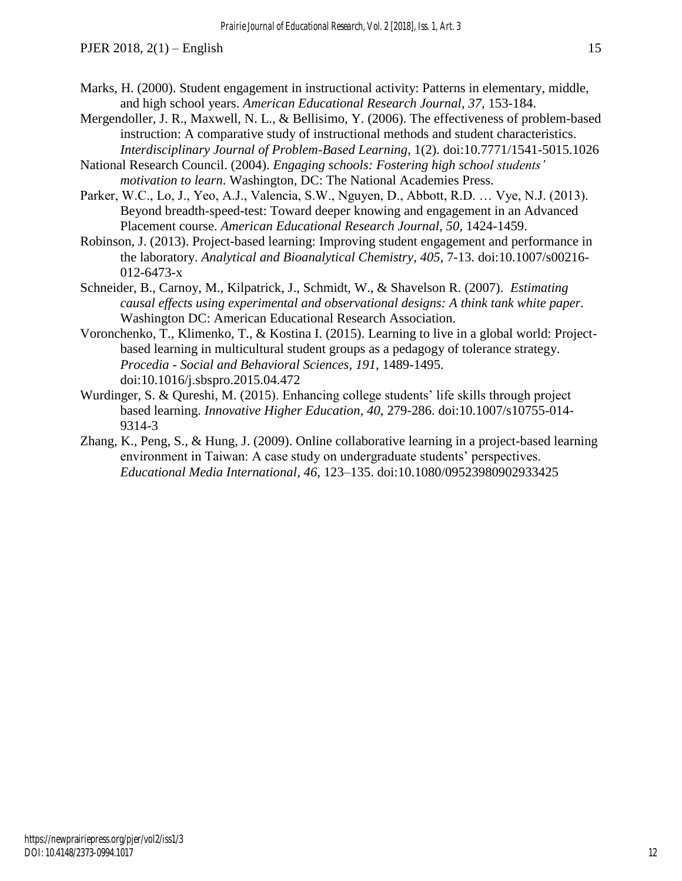- Marks, H. (2000). Student engagement in instructional activity: Patterns in elementary, middle, and high school years. *American Educational Research Journal, 37*, 153-184.
- Mergendoller, J. R., Maxwell, N. L., & Bellisimo, Y. (2006). The effectiveness of problem-based instruction: A comparative study of instructional methods and student characteristics. *Interdisciplinary Journal of Problem-Based Learning*, 1(2). doi:10.7771/1541-5015.1026
- National Research Council. (2004). *Engaging schools: Fostering high school students' motivation to learn*. Washington, DC: The National Academies Press.
- Parker, W.C., Lo, J., Yeo, A.J., Valencia, S.W., Nguyen, D., Abbott, R.D. … Vye, N.J. (2013). Beyond breadth-speed-test: Toward deeper knowing and engagement in an Advanced Placement course. *American Educational Research Journal, 50,* 1424-1459.
- Robinson, J. (2013). Project-based learning: Improving student engagement and performance in the laboratory. *Analytical and Bioanalytical Chemistry, 405*, 7-13. doi:10.1007/s00216- 012-6473-x
- Schneider, B., Carnoy, M., Kilpatrick, J., Schmidt, W., & Shavelson R. (2007). *Estimating causal effects using experimental and observational designs: A think tank white paper.* Washington DC: American Educational Research Association.
- Voronchenko, T., Klimenko, T., & Kostina I. (2015). Learning to live in a global world: Projectbased learning in multicultural student groups as a pedagogy of tolerance strategy. *Procedia - Social and Behavioral Sciences, 191,* 1489-1495. doi:10.1016/j.sbspro.2015.04.472
- Wurdinger, S. & Qureshi, M. (2015). Enhancing college students' life skills through project based learning. *Innovative Higher Education, 40*, 279-286. doi:10.1007/s10755-014- 9314-3
- Zhang, K., Peng, S., & Hung, J. (2009). Online collaborative learning in a project-based learning environment in Taiwan: A case study on undergraduate students' perspectives. *Educational Media International, 46,* 123–135. doi:10.1080/09523980902933425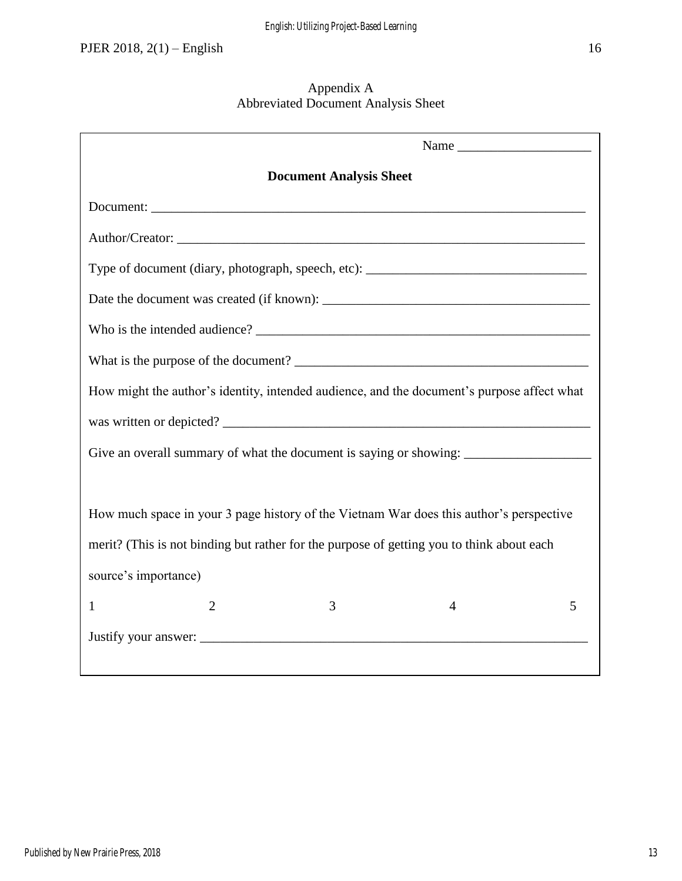## Appendix A Abbreviated Document Analysis Sheet

| Name                                                                                       |   |   |   |  |  |
|--------------------------------------------------------------------------------------------|---|---|---|--|--|
| <b>Document Analysis Sheet</b>                                                             |   |   |   |  |  |
|                                                                                            |   |   |   |  |  |
|                                                                                            |   |   |   |  |  |
|                                                                                            |   |   |   |  |  |
|                                                                                            |   |   |   |  |  |
|                                                                                            |   |   |   |  |  |
|                                                                                            |   |   |   |  |  |
| How might the author's identity, intended audience, and the document's purpose affect what |   |   |   |  |  |
|                                                                                            |   |   |   |  |  |
|                                                                                            |   |   |   |  |  |
|                                                                                            |   |   |   |  |  |
| How much space in your 3 page history of the Vietnam War does this author's perspective    |   |   |   |  |  |
| merit? (This is not binding but rather for the purpose of getting you to think about each  |   |   |   |  |  |
| source's importance)                                                                       |   |   |   |  |  |
| $\overline{2}$<br>1                                                                        | 3 | 4 | 5 |  |  |
|                                                                                            |   |   |   |  |  |
|                                                                                            |   |   |   |  |  |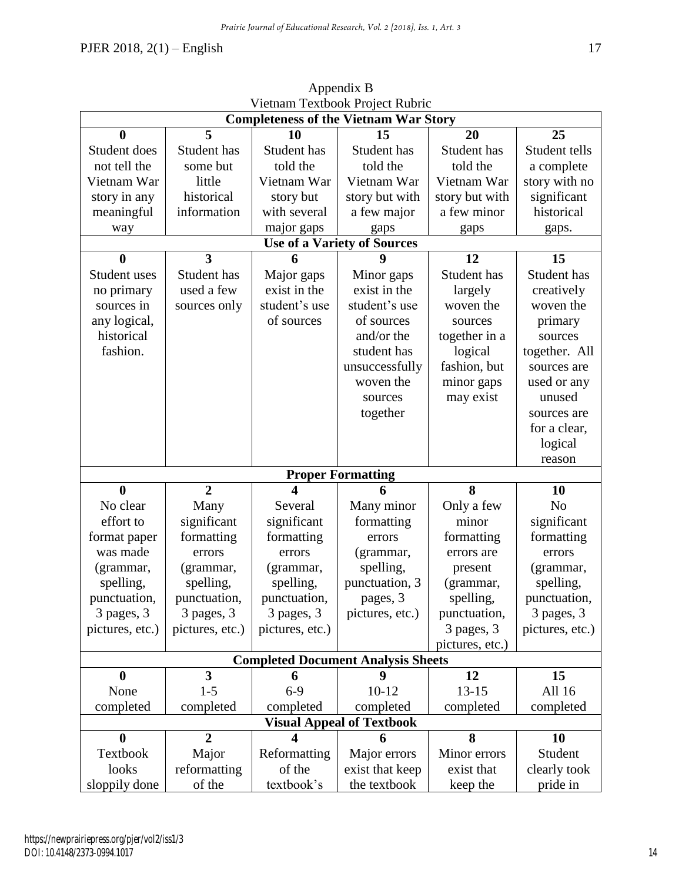|                                                                                                                             | VIEIHAIII TEXIDOOK PIOJECI KUUHC<br><b>Completeness of the Vietnam War Story</b>                                   |                                                                                                            |                                                                                              |                                                                                                                              |                                                                                                          |  |
|-----------------------------------------------------------------------------------------------------------------------------|--------------------------------------------------------------------------------------------------------------------|------------------------------------------------------------------------------------------------------------|----------------------------------------------------------------------------------------------|------------------------------------------------------------------------------------------------------------------------------|----------------------------------------------------------------------------------------------------------|--|
|                                                                                                                             |                                                                                                                    |                                                                                                            |                                                                                              |                                                                                                                              |                                                                                                          |  |
| $\boldsymbol{0}$                                                                                                            | 5                                                                                                                  | 10                                                                                                         | 15                                                                                           | 20                                                                                                                           | 25                                                                                                       |  |
| Student does                                                                                                                | Student has                                                                                                        | Student has                                                                                                | Student has                                                                                  | Student has                                                                                                                  | Student tells                                                                                            |  |
| not tell the                                                                                                                | some but                                                                                                           | told the                                                                                                   | told the                                                                                     | told the                                                                                                                     | a complete                                                                                               |  |
| Vietnam War                                                                                                                 | little                                                                                                             | Vietnam War                                                                                                | Vietnam War                                                                                  | Vietnam War                                                                                                                  | story with no                                                                                            |  |
| story in any                                                                                                                | historical                                                                                                         | story but                                                                                                  | story but with                                                                               | story but with                                                                                                               | significant                                                                                              |  |
| meaningful                                                                                                                  | information                                                                                                        | with several                                                                                               | a few major                                                                                  | a few minor                                                                                                                  | historical                                                                                               |  |
| way                                                                                                                         |                                                                                                                    | major gaps                                                                                                 | gaps                                                                                         | gaps                                                                                                                         | gaps.                                                                                                    |  |
|                                                                                                                             |                                                                                                                    |                                                                                                            | <b>Use of a Variety of Sources</b>                                                           |                                                                                                                              |                                                                                                          |  |
| $\bf{0}$                                                                                                                    | $\overline{\mathbf{3}}$                                                                                            |                                                                                                            | q                                                                                            | 12                                                                                                                           | 15                                                                                                       |  |
| Student uses                                                                                                                | Student has                                                                                                        | Major gaps                                                                                                 | Minor gaps                                                                                   | Student has                                                                                                                  | Student has                                                                                              |  |
| no primary                                                                                                                  | used a few                                                                                                         | exist in the                                                                                               | exist in the                                                                                 | largely                                                                                                                      | creatively                                                                                               |  |
| sources in                                                                                                                  | sources only                                                                                                       | student's use                                                                                              | student's use                                                                                | woven the                                                                                                                    | woven the                                                                                                |  |
| any logical,                                                                                                                |                                                                                                                    | of sources                                                                                                 | of sources                                                                                   | sources                                                                                                                      | primary                                                                                                  |  |
| historical                                                                                                                  |                                                                                                                    |                                                                                                            | and/or the                                                                                   | together in a                                                                                                                | sources                                                                                                  |  |
| fashion.                                                                                                                    |                                                                                                                    |                                                                                                            | student has                                                                                  | logical                                                                                                                      | together. All                                                                                            |  |
|                                                                                                                             |                                                                                                                    |                                                                                                            | unsuccessfully                                                                               | fashion, but                                                                                                                 | sources are                                                                                              |  |
|                                                                                                                             |                                                                                                                    |                                                                                                            | woven the                                                                                    | minor gaps                                                                                                                   | used or any                                                                                              |  |
|                                                                                                                             |                                                                                                                    |                                                                                                            | sources                                                                                      | may exist                                                                                                                    | unused                                                                                                   |  |
|                                                                                                                             |                                                                                                                    |                                                                                                            | together                                                                                     |                                                                                                                              | sources are                                                                                              |  |
|                                                                                                                             |                                                                                                                    |                                                                                                            |                                                                                              |                                                                                                                              | for a clear,                                                                                             |  |
|                                                                                                                             |                                                                                                                    |                                                                                                            |                                                                                              |                                                                                                                              | logical                                                                                                  |  |
|                                                                                                                             |                                                                                                                    |                                                                                                            |                                                                                              |                                                                                                                              | reason                                                                                                   |  |
|                                                                                                                             |                                                                                                                    |                                                                                                            | <b>Proper Formatting</b>                                                                     |                                                                                                                              |                                                                                                          |  |
| $\boldsymbol{0}$                                                                                                            | $\overline{2}$                                                                                                     | $\overline{\mathbf{4}}$                                                                                    | 6                                                                                            | 8                                                                                                                            | 10                                                                                                       |  |
| No clear                                                                                                                    | Many                                                                                                               | Several                                                                                                    | Many minor                                                                                   | Only a few                                                                                                                   | N <sub>o</sub>                                                                                           |  |
| effort to                                                                                                                   | significant                                                                                                        | significant                                                                                                | formatting                                                                                   | minor                                                                                                                        | significant                                                                                              |  |
| format paper                                                                                                                | formatting                                                                                                         | formatting                                                                                                 | errors                                                                                       | formatting                                                                                                                   | formatting                                                                                               |  |
| was made                                                                                                                    | errors                                                                                                             | errors                                                                                                     | (grammar,                                                                                    | errors are                                                                                                                   | errors                                                                                                   |  |
| (grammar,                                                                                                                   | (grammar,                                                                                                          | (grammar,                                                                                                  | spelling,                                                                                    | present                                                                                                                      | (grammar,                                                                                                |  |
|                                                                                                                             |                                                                                                                    |                                                                                                            |                                                                                              |                                                                                                                              |                                                                                                          |  |
|                                                                                                                             |                                                                                                                    |                                                                                                            |                                                                                              |                                                                                                                              |                                                                                                          |  |
|                                                                                                                             |                                                                                                                    |                                                                                                            |                                                                                              |                                                                                                                              |                                                                                                          |  |
|                                                                                                                             |                                                                                                                    |                                                                                                            |                                                                                              |                                                                                                                              |                                                                                                          |  |
|                                                                                                                             |                                                                                                                    |                                                                                                            |                                                                                              |                                                                                                                              |                                                                                                          |  |
| <b>Completed Document Analysis Sheets</b>                                                                                   |                                                                                                                    |                                                                                                            |                                                                                              |                                                                                                                              |                                                                                                          |  |
|                                                                                                                             |                                                                                                                    |                                                                                                            | 9                                                                                            |                                                                                                                              |                                                                                                          |  |
|                                                                                                                             |                                                                                                                    |                                                                                                            |                                                                                              |                                                                                                                              |                                                                                                          |  |
|                                                                                                                             |                                                                                                                    |                                                                                                            |                                                                                              |                                                                                                                              |                                                                                                          |  |
| <b>Visual Appeal of Textbook</b>                                                                                            |                                                                                                                    |                                                                                                            |                                                                                              |                                                                                                                              |                                                                                                          |  |
|                                                                                                                             |                                                                                                                    |                                                                                                            |                                                                                              |                                                                                                                              |                                                                                                          |  |
|                                                                                                                             |                                                                                                                    |                                                                                                            |                                                                                              |                                                                                                                              |                                                                                                          |  |
|                                                                                                                             |                                                                                                                    |                                                                                                            |                                                                                              |                                                                                                                              |                                                                                                          |  |
| looks                                                                                                                       | reformatting                                                                                                       | of the                                                                                                     | exist that keep                                                                              | exist that                                                                                                                   | clearly took                                                                                             |  |
| spelling,<br>punctuation,<br>3 pages, 3<br>pictures, etc.)<br>$\bf{0}$<br>None<br>completed<br>$\boldsymbol{0}$<br>Textbook | spelling,<br>punctuation,<br>3 pages, 3<br>pictures, etc.)<br>3<br>$1 - 5$<br>completed<br>$\overline{2}$<br>Major | spelling,<br>punctuation,<br>3 pages, 3<br>pictures, etc.)<br>6<br>$6-9$<br>completed<br>4<br>Reformatting | punctuation, 3<br>pages, 3<br>pictures, etc.)<br>$10 - 12$<br>completed<br>6<br>Major errors | (grammar,<br>spelling,<br>punctuation,<br>3 pages, 3<br>pictures, etc.)<br>12<br>$13 - 15$<br>completed<br>8<br>Minor errors | spelling,<br>punctuation,<br>3 pages, 3<br>pictures, etc.)<br>15<br>All 16<br>completed<br>10<br>Student |  |

Appendix B Vietnam Textbook Project Rubric